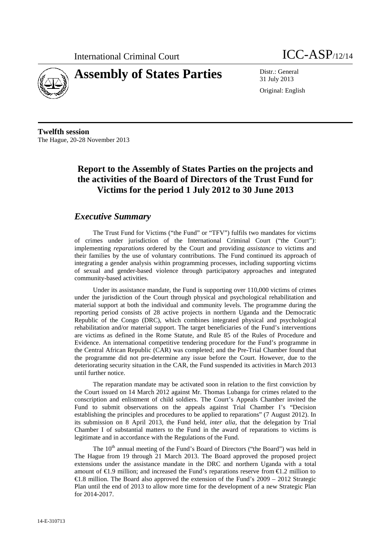



31 July 2013

Original: English

**Twelfth session** The Hague, 20-28 November 2013

# **Report to the Assembly of States Parties on the projects and the activities of the Board of Directors of the Trust Fund for Victims for the period 1 July 2012 to 30 June 2013**

### *Executive Summary*

The Trust Fund for Victims ("the Fund" or "TFV") fulfils two mandates for victims of crimes under jurisdiction of the International Criminal Court ("the Court"): implementing *reparations* ordered by the Court and providing *assistance* to victims and their families by the use of voluntary contributions. The Fund continued its approach of integrating a gender analysis within programming processes, including supporting victims of sexual and gender-based violence through participatory approaches and integrated community-based activities.

Under its assistance mandate, the Fund is supporting over 110,000 victims of crimes under the jurisdiction of the Court through physical and psychological rehabilitation and material support at both the individual and community levels. The programme during the reporting period consists of 28 active projects in northern Uganda and the Democratic Republic of the Congo (DRC), which combines integrated physical and psychological rehabilitation and/or material support. The target beneficiaries of the Fund's interventions are victims as defined in the Rome Statute, and Rule 85 of the Rules of Procedure and Evidence. An international competitive tendering procedure for the Fund's programme in the Central African Republic (CAR) was completed; and the Pre-Trial Chamber found that the programme did not pre-determine any issue before the Court. However, due to the deteriorating security situation in the CAR, the Fund suspended its activities in March 2013 until further notice.

The reparation mandate may be activated soon in relation to the first conviction by the Court issued on 14 March 2012 against Mr. Thomas Lubanga for crimes related to the conscription and enlistment of child soldiers. The Court's Appeals Chamber invited the Fund to submit observations on the appeals against Trial Chamber I's "Decision establishing the principles and procedures to be applied to reparations" (7 August 2012). In its submission on 8 April 2013, the Fund held, *inter alia,* that the delegation by Trial Chamber I of substantial matters to the Fund in the award of reparations to victims is legitimate and in accordance with the Regulations of the Fund.

The 10<sup>th</sup> annual meeting of the Fund's Board of Directors ("the Board") was held in The Hague from 19 through 21 March 2013. The Board approved the proposed project extensions under the assistance mandate in the DRC and northern Uganda with a total amount of  $\bigoplus$ .9 million; and increased the Fund's reparations reserve from  $\bigoplus$ .2 million to  $\triangleleft$ .8 million. The Board also approved the extension of the Fund's 2009 – 2012 Strategic Plan until the end of 2013 to allow more time for the development of a new Strategic Plan for 2014-2017.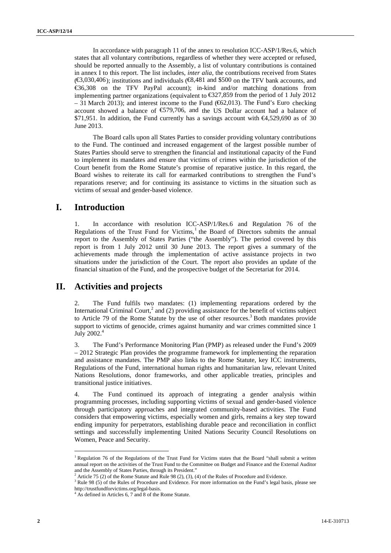In accordance with paragraph 11 of the annex to resolution ICC-ASP/1/Res.6, which states that all voluntary contributions, regardless of whether they were accepted or refused, should be reported annually to the Assembly, a list of voluntary contributions is contained in annex I to this report. The list includes, *inter alia*, the contributions received from States  $(\mathfrak{S},030,406)$ ; institutions and individuals  $(\mathfrak{S},481)$  and \$500 on the TFV bank accounts, and €36,308 on the TFV PayPal account); in-kind and/or matching donations from implementing partner organizations (equivalent to  $\mathfrak{S}27,859$  from the period of 1 July 2012  $-31$  March 2013); and interest income to the Fund ( $62,013$ ). The Fund's Euro checking account showed a balance of €579,706, and the US Dollar account had a balance of \$71,951. In addition, the Fund currently has a savings account with €4,529,690 as of 30 June 2013.

The Board calls upon all States Parties to consider providing voluntary contributions to the Fund. The continued and increased engagement of the largest possible number of States Parties should serve to strengthen the financial and institutional capacity of the Fund to implement its mandates and ensure that victims of crimes within the jurisdiction of the Court benefit from the Rome Statute's promise of reparative justice. In this regard, the Board wishes to reiterate its call for earmarked contributions to strengthen the Fund's reparations reserve; and for continuing its assistance to victims in the situation such as victims of sexual and gender-based violence.

### **I. Introduction**

1. In accordance with resolution ICC-ASP/1/Res.6 and Regulation 76 of the Regulations of the Trust Fund for Victims,<sup>1</sup> the Board of Directors submits the annual report to the Assembly of States Parties ("the Assembly"). The period covered by this report is from 1 July 2012 until 30 June 2013. The report gives a summary of the achievements made through the implementation of active assistance projects in two situations under the jurisdiction of the Court. The report also provides an update of the financial situation of the Fund, and the prospective budget of the Secretariat for 2014.

## **II. Activities and projects**

2. The Fund fulfils two mandates: (1) implementing reparations ordered by the International Criminal Court, $\frac{2}{3}$  and (2) providing assistance for the benefit of victims subject to Article 79 of the Rome Statute by the use of other resources.<sup>3</sup> Both mandates provide support to victims of genocide, crimes against humanity and war crimes committed since 1 July  $2002.<sup>4</sup>$ 

3. The Fund's Performance Monitoring Plan (PMP) as released under the Fund's 2009 – 2012 Strategic Plan provides the programme framework for implementing the reparation and assistance mandates. The PMP also links to the Rome Statute, key ICC instruments, Regulations of the Fund, international human rights and humanitarian law, relevant United Nations Resolutions, donor frameworks, and other applicable treaties, principles and transitional justice initiatives.

4. The Fund continued its approach of integrating a gender analysis within programming processes, including supporting victims of sexual and gender-based violence through participatory approaches and integrated community-based activities. The Fund considers that empowering victims, especially women and girls, remains a key step toward ending impunity for perpetrators, establishing durable peace and reconciliation in conflict settings and successfully implementing United Nations Security Council Resolutions on Women, Peace and Security.

<sup>&</sup>lt;sup>1</sup> Regulation 76 of the Regulations of the Trust Fund for Victims states that the Board "shall submit a written annual report on the activities of the Trust Fund to the Committee on Budget and Finance and the External Auditor and the Assembly of States Parties, through its President."

<sup>2</sup> Article 75 (2) of the Rome Statute and Rule 98 (2), (3), (4) of the Rules of Procedure and Evidence.

<sup>&</sup>lt;sup>3</sup> Rule 98 (5) of the Rules of Procedure and Evidence. For more information on the Fund's legal basis, please see http://trustfundforvictims.org/legal-basis. <sup>4</sup> As defined in Articles 6, 7 and 8 of the Rome Statute.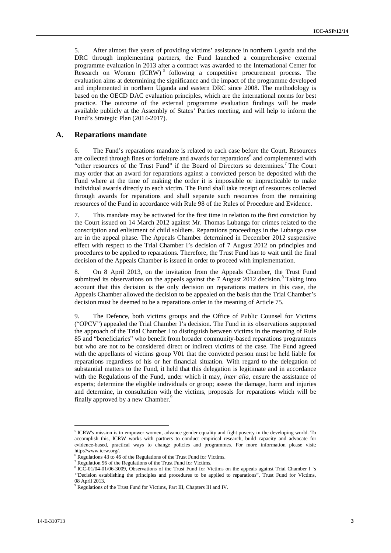5. After almost five years of providing victims' assistance in northern Uganda and the DRC through implementing partners, the Fund launched a comprehensive external programme evaluation in 2013 after a contract was awarded to the International Center for Research on Women (ICRW)<sup>5</sup> following a competitive procurement process. The evaluation aims at determining the significance and the impact of the programme developed and implemented in northern Uganda and eastern DRC since 2008. The methodology is based on the OECD DAC evaluation principles, which are the international norms for best practice. The outcome of the external programme evaluation findings will be made available publicly at the Assembly of States' Parties meeting, and will help to inform the Fund's Strategic Plan (2014-2017).

#### **A. Reparations mandate**

6. The Fund's reparations mandate is related to each case before the Court. Resources are collected through fines or forfeiture and awards for reparations<sup>6</sup> and complemented with "other resources of the Trust Fund" if the Board of Directors so determines.<sup>7</sup> The Court may order that an award for reparations against a convicted person be deposited with the Fund where at the time of making the order it is impossible or impracticable to make individual awards directly to each victim. The Fund shall take receipt of resources collected through awards for reparations and shall separate such resources from the remaining resources of the Fund in accordance with Rule 98 of the Rules of Procedure and Evidence.

7. This mandate may be activated for the first time in relation to the first conviction by the Court issued on 14 March 2012 against Mr. Thomas Lubanga for crimes related to the conscription and enlistment of child soldiers. Reparations proceedings in the Lubanga case are in the appeal phase. The Appeals Chamber determined in December 2012 suspensive effect with respect to the Trial Chamber I's decision of 7 August 2012 on principles and procedures to be applied to reparations. Therefore, the Trust Fund has to wait until the final decision of the Appeals Chamber is issued in order to proceed with implementation.

8. On 8 April 2013, on the invitation from the Appeals Chamber, the Trust Fund submitted its observations on the appeals against the  $7$  August 2012 decision.<sup>8</sup> Taking into account that this decision is the only decision on reparations matters in this case, the Appeals Chamber allowed the decision to be appealed on the basis that the Trial Chamber's decision must be deemed to be a reparations order in the meaning of Article 75.

5. After also of five was of providing visitions in solution is nothing through the state of providing visition in the state of the state of the state of the state of the state of the state of the state of the state of th 9. The Defence, both victims groups and the Office of Public Counsel for Victims ("OPCV") appealed the Trial Chamber I's decision. The Fund in its observations supported the approach of the Trial Chamber I to distinguish between victims in the meaning of Rule 85 and "beneficiaries" who benefit from broader community-based reparations programmes but who are not to be considered direct or indirect victims of the case. The Fund agreed with the appellants of victims group V01 that the convicted person must be held liable for reparations regardless of his or her financial situation. With regard to the delegation of substantial matters to the Fund, it held that this delegation is legitimate and in accordance with the Regulations of the Fund, under which it may, *inter alia,* ensure the assistance of experts; determine the eligible individuals or group; assess the damage, harm and injuries and determine, in consultation with the victims, proposals for reparations which will be finally approved by a new Chamber.<sup>9</sup>

<sup>5</sup> ICRW's mission is to empower women, advance gender equality and fight poverty in the developing world. To accomplish this, ICRW works with partners to conduct empirical research, build capacity and advocate for evidence-based, practical ways to change policies and programmes. For more information please visit: http://www.icrw.org/.

<sup>&</sup>lt;sup>6</sup> Regulations 43 to 46 of the Regulations of the Trust Fund for Victims.

<sup>&</sup>lt;sup>7</sup> Regulation 56 of the Regulations of the Trust Fund for Victims.<br><sup>8</sup> ICC-01/04-01/06-3009, Observations of the Trust Fund for Victims on the appeals against Trial Chamber I 's ''Decision establishing the principles and procedures to be applied to reparations", Trust Fund for Victims, 08 April 2013.

Regulations of the Trust Fund for Victims, Part III, Chapters III and IV.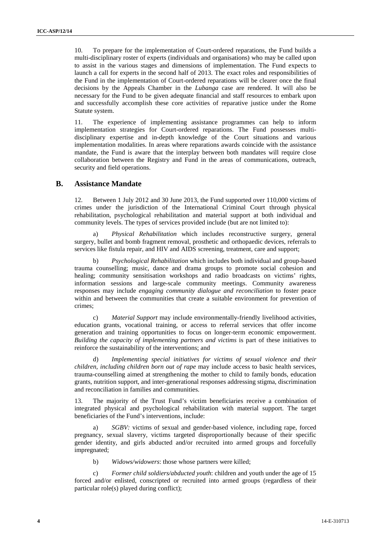10. To prepare for the implementation of Court-ordered reparations, the Fund builds a multi-disciplinary roster of experts (individuals and organisations) who may be called upon to assist in the various stages and dimensions of implementation. The Fund expects to launch a call for experts in the second half of 2013. The exact roles and responsibilities of the Fund in the implementation of Court-ordered reparations will be clearer once the final decisions by the Appeals Chamber in the *Lubanga* case are rendered. It will also be necessary for the Fund to be given adequate financial and staff resources to embark upon and successfully accomplish these core activities of reparative justice under the Rome Statute system.

11. The experience of implementing assistance programmes can help to inform implementation strategies for Court-ordered reparations. The Fund possesses multi disciplinary expertise and in-depth knowledge of the Court situations and various implementation modalities. In areas where reparations awards coincide with the assistance mandate, the Fund is aware that the interplay between both mandates will require close collaboration between the Registry and Fund in the areas of communications, outreach, security and field operations.

#### **B. Assistance Mandate**

12. Between 1 July 2012 and 30 June 2013, the Fund supported over 110,000 victims of crimes under the jurisdiction of the International Criminal Court through physical rehabilitation, psychological rehabilitation and material support at both individual and community levels. The types of services provided include (but are not limited to):

a) *Physical Rehabilitation* which includes reconstructive surgery, general surgery, bullet and bomb fragment removal, prosthetic and orthopaedic devices, referrals to services like fistula repair, and HIV and AIDS screening, treatment, care and support;

b) *Psychological Rehabilitation* which includes both individual and group-based trauma counselling; music, dance and drama groups to promote social cohesion and healing; community sensitisation workshops and radio broadcasts on victims' rights, information sessions and large-scale community meetings. Community awareness responses may include *engaging community dialogue and reconciliation* to foster peace within and between the communities that create a suitable environment for prevention of crimes;

c) *Material Support* may include environmentally-friendly livelihood activities, education grants, vocational training, or access to referral services that offer income generation and training opportunities to focus on longer-term economic empowerment. *Building the capacity of implementing partners and victims* is part of these initiatives to reinforce the sustainability of the interventions; and

d) *Implementing special initiatives for victims of sexual violence and their children, including children born out of rape* may include access to basic health services, trauma-counselling aimed at strengthening the mother to child to family bonds, education grants, nutrition support, and inter-generational responses addressing stigma, discrimination and reconciliation in families and communities.

13. The majority of the Trust Fund's victim beneficiaries receive a combination of integrated physical and psychological rehabilitation with material support. The target beneficiaries of the Fund's interventions, include:

a) *SGBV:* victims of sexual and gender-based violence, including rape, forced pregnancy, sexual slavery, victims targeted disproportionally because of their specific gender identity, and girls abducted and/or recruited into armed groups and forcefully impregnated;

b) *Widows/widowers*: those whose partners were killed;

c) *Former child soldiers/abducted youth*: children and youth under the age of 15 forced and/or enlisted, conscripted or recruited into armed groups (regardless of their particular role(s) played during conflict);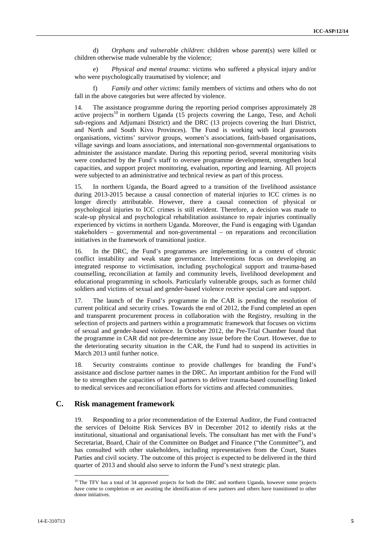d) *Orphans and vulnerable children*: children whose parent(s) were killed or children otherwise made vulnerable by the violence;

*Physical and mental trauma*: victims who suffered a physical injury and/or who were psychologically traumatised by violence; and

f) *Family and other victims*: family members of victims and others who do not fall in the above categories but were affected by violence.

14-16-0 photos and violencels) colliders: children: children: children: children: children: children: children: children: children: children: children: children: children: children: children: children: children: children: 14. The assistance programme during the reporting period comprises approximately 28 active projects<sup>10</sup> in northern Uganda (15 projects covering the Lango, Teso, and Acholi sub-regions and Adjumani District) and the DRC (13 projects covering the Ituri District, and North and South Kivu Provinces). The Fund is working with local grassroots organisations, victims' survivor groups, women's associations, faith-based organisations, village savings and loans associations, and international non-governmental organisations to administer the assistance mandate. During this reporting period, several monitoring visits were conducted by the Fund's staff to oversee programme development, strengthen local capacities, and support project monitoring, evaluation, reporting and learning. All projects were subjected to an administrative and technical review as part of this process.

15. In northern Uganda, the Board agreed to a transition of the livelihood assistance during 2013-2015 because a causal connection of material injuries to ICC crimes is no longer directly attributable. However, there a causal connection of physical or psychological injuries to ICC crimes is still evident. Therefore, a decision was made to scale-up physical and psychological rehabilitation assistance to repair injuries continually experienced by victims in northern Uganda. Moreover, the Fund is engaging with Ugandan stakeholders – governmental and non-governmental – on reparations and reconciliation initiatives in the framework of transitional justice.

16. In the DRC, the Fund's programmes are implementing in a context of chronic conflict instability and weak state governance. Interventions focus on developing an integrated response to victimisation, including psychological support and trauma-based counselling, reconciliation at family and community levels, livelihood development and educational programming in schools. Particularly vulnerable groups, such as former child soldiers and victims of sexual and gender-based violence receive special care and support.

17. The launch of the Fund's programme in the CAR is pending the resolution of current political and security crises. Towards the end of 2012, the Fund completed an open and transparent procurement process in collaboration with the Registry, resulting in the selection of projects and partners within a programmatic framework that focuses on victims of sexual and gender-based violence. In October 2012, the Pre-Trial Chamber found that the programme in CAR did not pre-determine any issue before the Court. However, due to the deteriorating security situation in the CAR, the Fund had to suspend its activities in March 2013 until further notice.

18. Security constraints continue to provide challenges for branding the Fund's assistance and disclose partner names in the DRC. An important ambition for the Fund will be to strengthen the capacities of local partners to deliver trauma-based counselling linked to medical services and reconciliation efforts for victims and affected communities.

#### **C. Risk management framework**

19. Responding to a prior recommendation of the External Auditor, the Fund contracted the services of Deloitte Risk Services BV in December 2012 to identify risks at the institutional, situational and organisational levels. The consultant has met with the Fund's Secretariat, Board, Chair of the Committee on Budget and Finance ("the Committee"), and has consulted with other stakeholders, including representatives from the Court, States Parties and civil society. The outcome of this project is expected to be delivered in the third quarter of 2013 and should also serve to inform the Fund's next strategic plan.

<sup>&</sup>lt;sup>10</sup> The TFV has a total of 34 approved projects for both the DRC and northern Uganda, however some projects have come to completion or are awaiting the identification of new partners and others have transitioned to other donor initiatives.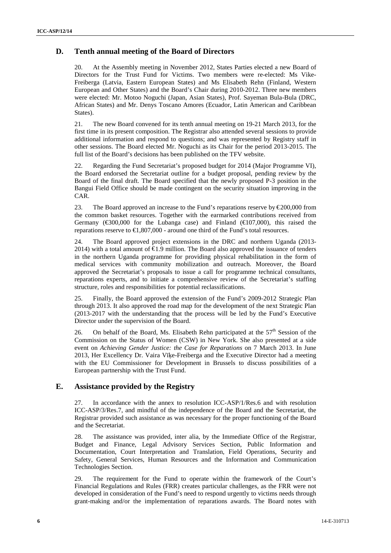### **D. Tenth annual meeting of the Board of Directors**

20. At the Assembly meeting in November 2012, States Parties elected a new Board of Directors for the Trust Fund for Victims. Two members were re-elected: Ms Vike- Freiberga (Latvia, Eastern European States) and Ms Elisabeth Rehn (Finland, Western European and Other States) and the Board's Chair during 2010-2012. Three new members were elected: Mr. Motoo Noguchi (Japan, Asian States), Prof. Sayeman Bula-Bula (DRC, African States) and Mr. Denys Toscano Amores (Ecuador, Latin American and Caribbean States).

21. The new Board convened for its tenth annual meeting on 19-21 March 2013, for the first time in its present composition. The Registrar also attended several sessions to provide additional information and respond to questions; and was represented by Registry staff in other sessions. The Board elected Mr. Noguchi as its Chair for the period 2013-2015. The full list of the Board's decisions has been published on the TFV website.

22. Regarding the Fund Secretariat's proposed budget for 2014 (Major Programme VI), the Board endorsed the Secretariat outline for a budget proposal, pending review by the Board of the final draft. The Board specified that the newly proposed P-3 position in the Bangui Field Office should be made contingent on the security situation improving in the CAR.

23. The Board approved an increase to the Fund's reparations reserve by  $\epsilon$ 200,000 from the common basket resources. Together with the earmarked contributions received from Germany ( $\text{\textsterling}00,000$  for the Lubanga case) and Finland ( $\text{\textsterling}107,000$ ), this raised the reparations reserve to  $\epsilon 1,807,000$  - around one third of the Fund's total resources.

24. The Board approved project extensions in the DRC and northern Uganda (2013- 2014) with a total amount of  $\epsilon$ 1.9 million. The Board also approved the issuance of tenders in the northern Uganda programme for providing physical rehabilitation in the form of medical services with community mobilization and outreach. Moreover, the Board approved the Secretariat's proposals to issue a call for programme technical consultants, reparations experts, and to initiate a comprehensive review of the Secretariat's staffing structure, roles and responsibilities for potential reclassifications.

25. Finally, the Board approved the extension of the Fund's 2009-2012 Strategic Plan through 2013. It also approved the road map for the development of the next Strategic Plan (2013-2017 with the understanding that the process will be led by the Fund's Executive Director under the supervision of the Board.

26. On behalf of the Board, Ms. Elisabeth Rehn participated at the  $57<sup>th</sup>$  Session of the Commission on the Status of Women (CSW) in New York. She also presented at a side event on *Achieving Gender Justice: the Case for Reparations* on 7 March 2013. In June 2013, Her Excellency Dr. Vaira V $e$ -Freiberga and the Executive Director had a meeting with the EU Commissioner for Development in Brussels to discuss possibilities of a European partnership with the Trust Fund.

#### **E. Assistance provided by the Registry**

27. In accordance with the annex to resolution ICC-ASP/1/Res.6 and with resolution ICC-ASP/3/Res.7, and mindful of the independence of the Board and the Secretariat, the Registrar provided such assistance as was necessary for the proper functioning of the Board and the Secretariat.

28. The assistance was provided, inter alia, by the Immediate Office of the Registrar, Budget and Finance, Legal Advisory Services Section, Public Information and Documentation, Court Interpretation and Translation, Field Operations, Security and Safety, General Services, Human Resources and the Information and Communication Technologies Section.

29. The requirement for the Fund to operate within the framework of the Court's Financial Regulations and Rules (FRR) creates particular challenges, as the FRR were not developed in consideration of the Fund's need to respond urgently to victims needs through grant-making and/or the implementation of reparations awards. The Board notes with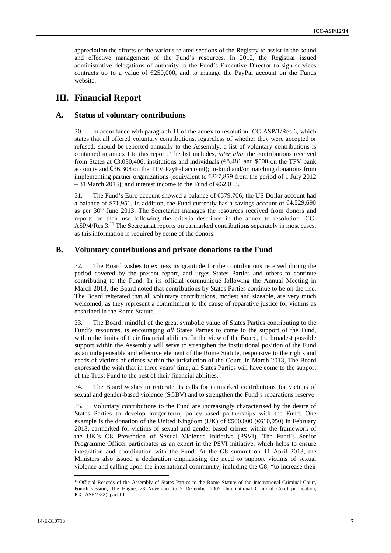appreciation the efforts of the various related sections of the Registry to assist in the sound and effective management of the Fund's resources. In 2012, the Registrar issued administrative delegations of authority to the Fund's Executive Director to sign services contracts up to a value of  $\epsilon$ 250,000, and to manage the PayPal account on the Funds website.

# **III. Financial Report**

#### **A. Status of voluntary contributions**

30. In accordance with paragraph 11 of the annex to resolution ICC-ASP/1/Res.6, which states that all offered voluntary contributions, regardless of whether they were accepted or refused, should be reported annually to the Assembly, a list of voluntary contributions is contained in annex I to this report. The list includes, *inter alia*, the contributions received from States at  $\epsilon$ 3,030,406; institutions and individuals ( $\epsilon$ 3,481 and \$500 on the TFV bank accounts and  $\epsilon$ 36,308 on the TFV PayPal account); in-kind and/or matching donations from implementing partner organizations (equivalent to  $\text{\textless}27.859$  from the period of 1 July 2012  $-31$  March 2013); and interest income to the Fund of  $62,013$ .

31. The Fund's Euro account showed a balance of  $\epsilon$ 579,706; the US Dollar account had a balance of \$71,951. In addition, the Fund currently has a savings account of  $\epsilon$ 4,529,690 as per  $30<sup>th</sup>$  June 2013. The Secretariat manages the resources received from donors and reports on their use following the criteria described in the annex to resolution ICC- ASP/4/Res.3.<sup>11</sup> The Secretariat reports on earmarked contributions separately in most cases, as this information is required by some of the donors.

#### **B. Voluntary contributions and private donations to the Fund**

32. The Board wishes to express its gratitude for the contributions received during the period covered by the present report, and urges States Parties and others to continue contributing to the Fund. In its official communiqué following the Annual Meeting in March 2013, the Board noted that contributions by States Parties continue to be on the rise. The Board reiterated that all voluntary contributions, modest and sizeable, are very much welcomed, as they represent a commitment to the cause of reparative justice for victims as enshrined in the Rome Statute.

33. The Board, mindful of the great symbolic value of States Parties contributing to the Fund's resources, is encouraging *all* States Parties to come to the support of the Fund, within the limits of their financial abilities. In the view of the Board, the broadest possible support within the Assembly will serve to strengthen the institutional position of the Fund as an indispensable and effective element of the Rome Statute, responsive to the rights and needs of victims of crimes within the jurisdiction of the Court. In March 2013, The Board expressed the wish that in three years' time, all States Parties will have come to the support of the Trust Fund to the best of their financial abilities.

34. The Board wishes to reiterate its calls for earmarked contributions for victims of sexual and gender-based violence (SGBV) and to strengthen the Fund's reparations reserve.

appreciation the effects of the variant values is economic field Region to metric in equation in the constraints of the constraints of the constraints of the constraints of the constraints of the constraints of the constr 35. Voluntary contributions to the Fund are increasingly characterised by the desire of States Parties to develop longer-term, policy-based partnerships with the Fund. One example is the donation of the United Kingdom (UK) of £500,000 ( $\bigoplus 10,950$ ) in February 2013, earmarked for victims of sexual and gender-based crimes within the framework of the UK's G8 Prevention of Sexual Violence Initiative (PSVI). The Fund's Senior Programme Officer participates as an expert in the PSVI initiative, which helps to ensure integration and coordination with the Fund. At the G8 summit on 11 April 2013, the Ministers also issued a declaration emphasising the need to support victims of sexual violence and calling upon the international community, including the G8, **"**to increase their

<sup>&</sup>lt;sup>11</sup> Official Records of the Assembly of States Parties to the Rome Statute of the International Criminal Court, Fourth session, The Hague, 28 November to 3 December 2005 (International Criminal Court publication, ICC-ASP/4/32), part III.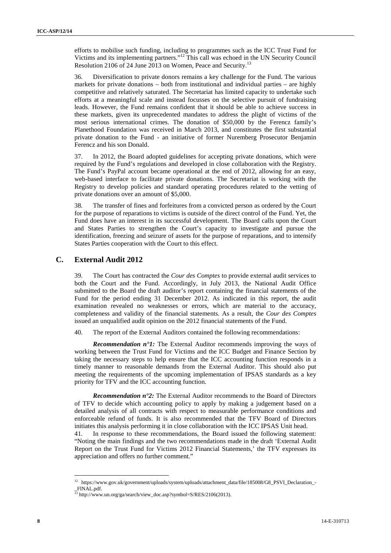efforts to mobilise such funding, including to programmes such as the ICC Trust Fund for Victims and its implementing partners." <sup>12</sup> This call was echoed in the UN Security Council Resolution 2106 of 24 June 2013 on Women, Peace and Security.<sup>13</sup>

36. Diversification to private donors remains a key challenge for the Fund. The various markets for private donations – both from institutional and individual parties – are highly competitive and relatively saturated. The Secretariat has limited capacity to undertake such efforts at a meaningful scale and instead focusses on the selective pursuit of fundraising leads. However, the Fund remains confident that it should be able to achieve success in these markets, given its unprecedented mandates to address the plight of victims of the most serious international crimes. The donation of \$50,000 by the Ferencz family's Planethood Foundation was received in March 2013, and constitutes the first substantial private donation to the Fund - an initiative of former Nuremberg Prosecutor Benjamin Ferencz and his son Donald.

37. In 2012, the Board adopted guidelines for accepting private donations, which were required by the Fund's regulations and developed in close collaboration with the Registry. The Fund's PayPal account became operational at the end of 2012, allowing for an easy, web-based interface to facilitate private donations. The Secretariat is working with the Registry to develop policies and standard operating procedures related to the vetting of private donations over an amount of \$5,000.

38. The transfer of fines and forfeitures from a convicted person as ordered by the Court for the purpose of reparations to victims is outside of the direct control of the Fund. Yet, the Fund does have an interest in its successful development. The Board calls upon the Court and States Parties to strengthen the Court's capacity to investigate and pursue the identification, freezing and seizure of assets for the purpose of reparations, and to intensify States Parties cooperation with the Court to this effect.

#### **C. External Audit 2012**

39. The Court has contracted the *Cour des Comptes* to provide external audit services to both the Court and the Fund. Accordingly, in July 2013, the National Audit Office submitted to the Board the draft auditor's report containing the financial statements of the Fund for the period ending 31 December 2012. As indicated in this report, the audit examination revealed no weaknesses or errors, which are material to the accuracy, completeness and validity of the financial statements. As a result, the *Cour des Comptes* issued an unqualified audit opinion on the 2012 financial statements of the Fund.

40. The report of the External Auditors contained the following recommendations:

*Recommendation*  $n^o$ *I*: The External Auditor recommends improving the ways of working between the Trust Fund for Victims and the ICC Budget and Finance Section by taking the necessary steps to help ensure that the ICC accounting function responds in a timely manner to reasonable demands from the External Auditor. This should also put meeting the requirements of the upcoming implementation of IPSAS standards as a key priority for TFV and the ICC accounting function.

*Recommendation n°2:* The External Auditor recommends to the Board of Directors of TFV to decide which accounting policy to apply by making a judgement based on a detailed analysis of all contracts with respect to measurable performance conditions and enforceable refund of funds. It is also recommended that the TFV Board of Directors initiates this analysis performing it in close collaboration with the ICC IPSAS Unit head.

41. In response to these recommendations, the Board issued the following statement: "Noting the main findings and the two recommendations made in the draft 'External Audit Report on the Trust Fund for Victims 2012 Financial Statements,' the TFV expresses its appreciation and offers no further comment."

<sup>12</sup> https://www.gov.uk/government/uploads/system/uploads/attachment\_data/file/185008/G8\_PSVI\_Declaration\_-

\_FINAL.pdf.  $^{13}$  http://www.un.org/ga/search/view\_doc.asp?symbol=S/RES/2106(2013).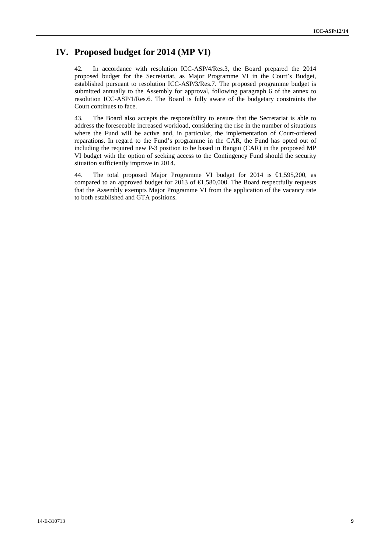# **IV. Proposed budget for 2014 (MP VI)**

42. In accordance with resolution ICC-ASP/4/Res.3, the Board prepared the 2014 proposed budget for the Secretariat, as Major Programme VI in the Court's Budget, established pursuant to resolution ICC-ASP/3/Res.7. The proposed programme budget is submitted annually to the Assembly for approval, following paragraph 6 of the annex to resolution ICC-ASP/1/Res.6. The Board is fully aware of the budgetary constraints the Court continues to face.

**17.** Proposed budged for 2014 (MP VI)  $\frac{1}{2}$ <br>
19 Excellent via including EC-32011<br>
19 Excellent via including EC-32011<br>
proposed isolate that the signature at MS-82019.<br>
Proposed is considered it at all the signature 43. The Board also accepts the responsibility to ensure that the Secretariat is able to address the foreseeable increased workload, considering the rise in the number of situations where the Fund will be active and, in particular, the implementation of Court-ordered reparations. In regard to the Fund's programme in the CAR, the Fund has opted out of including the required new P-3 position to be based in Bangui (CAR) in the proposed MP VI budget with the option of seeking access to the Contingency Fund should the security situation sufficiently improve in 2014.

44. The total proposed Major Programme VI budget for 2014 is  $\epsilon$ 1,595,200, as compared to an approved budget for 2013 of  $\bigoplus$ ,580,000. The Board respectfully requests that the Assembly exempts Major Programme VI from the application of the vacancy rate to both established and GTA positions.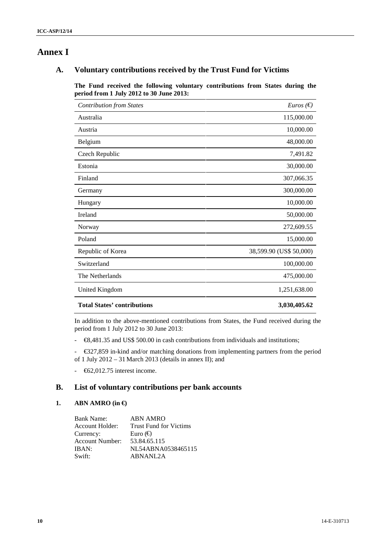# **Annex I**

#### **A. Voluntary contributions received by the Trust Fund for Victims**

**The Fund received the following voluntary contributions from States during the period from 1 July 2012 to 30 June 2013:**

| <b>Contribution from States</b>    | <i>Euros</i> ( $\epsilon$ ) |
|------------------------------------|-----------------------------|
| Australia                          | 115,000.00                  |
| Austria                            | 10,000.00                   |
| Belgium                            | 48,000.00                   |
| Czech Republic                     | 7,491.82                    |
| Estonia                            | 30,000.00                   |
| Finland                            | 307,066.35                  |
| Germany                            | 300,000.00                  |
| Hungary                            | 10,000.00                   |
| Ireland                            | 50,000.00                   |
| Norway                             | 272,609.55                  |
| Poland                             | 15,000.00                   |
| Republic of Korea                  | 38,599.90 (US\$ 50,000)     |
| Switzerland                        | 100,000.00                  |
| The Netherlands                    | 475,000.00                  |
| <b>United Kingdom</b>              | 1,251,638.00                |
| <b>Total States' contributions</b> | 3,030,405.62                |

In addition to the above-mentioned contributions from States, the Fund received during the period from 1 July 2012 to 30 June 2013:

- €8,481.35 and US\$ 500.00 in cash contributions from individuals and institutions;

- €327,859 in-kind and/or matching donations from implementing partners from the period of 1 July 2012 – 31 March 2013 (details in annex II); and

- €62,012.75 interest income.

#### **B. List of voluntary contributions per bank accounts**

#### **1. ABN AMRO (in €)**

| <b>Bank Name:</b> | <b>ABN AMRO</b>               |
|-------------------|-------------------------------|
| Account Holder:   | <b>Trust Fund for Victims</b> |
| Currency:         | Euro $\Theta$                 |
| Account Number:   | 53.84.65.115                  |
| IBAN:             | NL54ABNA0538465115            |
| Swift:            | ABNANI 2A                     |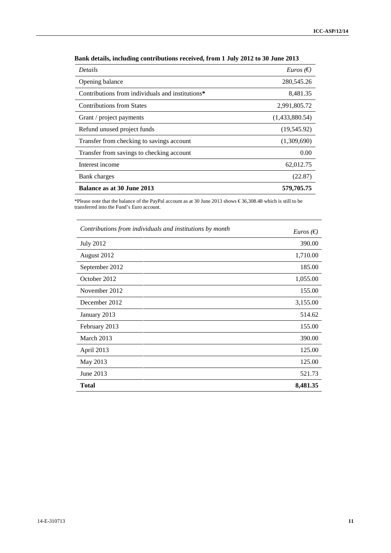| <b>Details</b>                                   | $Euros$ ( $\epsilon$ ) |
|--------------------------------------------------|------------------------|
| Opening balance                                  | 280,545.26             |
| Contributions from individuals and institutions* | 8,481.35               |
| Contributions from States                        | 2,991,805.72           |
| Grant / project payments                         | (1,433,880.54)         |
| Refund unused project funds                      | (19, 545.92)           |
| Transfer from checking to savings account        | (1,309,690)            |
| Transfer from savings to checking account        | 0.00                   |
| Interest income                                  | 62,012.75              |
| Bank charges                                     | (22.87)                |
| <b>Balance as at 30 June 2013</b>                | 579,705.75             |

**Bank details, including contributions received, from 1 July 2012 to 30 June 2013**

| Details                                                  | $Euros$ ( $\epsilon$ ) |
|----------------------------------------------------------|------------------------|
| Opening balance                                          | 280,545.26             |
| Contributions from individuals and institutions*         | 8,481.35               |
| <b>Contributions from States</b>                         | 2,991,805.72           |
| Grant / project payments                                 | (1,433,880.54)         |
| Refund unused project funds                              | (19, 545.92)           |
| Transfer from checking to savings account                | (1,309,690)            |
| Transfer from savings to checking account                | $0.00\,$               |
| Interest income                                          | 62,012.75              |
| Bank charges                                             | (22.87)                |
| Balance as at 30 June 2013                               | 579,705.75             |
| Contributions from individuals and institutions by month | $Euros$ ( $\epsilon$ ) |
|                                                          |                        |
| <b>July 2012</b>                                         | 390.00                 |
| August 2012                                              | 1,710.00               |
| September 2012                                           | 185.00                 |
| October 2012                                             | 1,055.00               |
| November 2012                                            | 155.00                 |
| December 2012                                            | 3,155.00               |
| January 2013                                             | 514.62                 |
| February 2013                                            | 155.00                 |
| March 2013                                               | 390.00                 |
| April 2013                                               | 125.00                 |
| May 2013                                                 | 125.00                 |
|                                                          | 521.73                 |
| June 2013                                                |                        |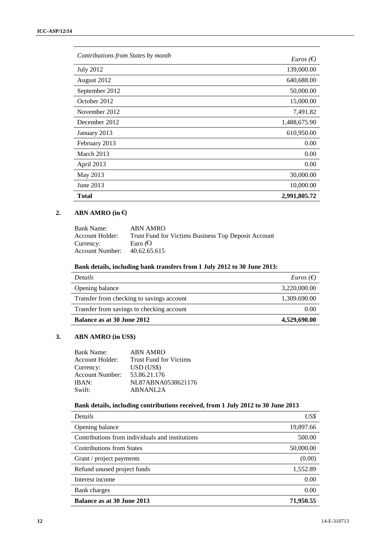| Contributions from States by month | <i>Euros</i> ( $\epsilon$ ) |
|------------------------------------|-----------------------------|
| <b>July 2012</b>                   | 139,000.00                  |
| August 2012                        | 640,688.00                  |
| September 2012                     | 50,000.00                   |
| October 2012                       | 15,000.00                   |
| November 2012                      | 7,491.82                    |
| December 2012                      | 1,488,675.90                |
| January 2013                       | 610,950.00                  |
| February 2013                      | 0.00                        |
| March 2013                         | 0.00                        |
| April 2013                         | 0.00                        |
| May 2013                           | 30,000.00                   |
| June 2013                          | 10,000.00                   |
| Total                              | 2,991,805.72                |

### **2. ABN AMRO (in €)**

| Bank Name:             | ABN AMRO                                            |
|------------------------|-----------------------------------------------------|
| Account Holder:        | Trust Fund for Victims Business Top Deposit Account |
| Currency:              | Euro (€)                                            |
| <b>Account Number:</b> | 40.62.65.615                                        |

### **Bank details, including bank transfers from 1 July 2012 to 30 June 2013:**

| <i>Details</i>                            | <i>Euros</i> ( $\epsilon$ ) |
|-------------------------------------------|-----------------------------|
| Opening balance                           | 3,220,000.00                |
| Transfer from checking to savings account | 1,309.690.00                |
| Transfer from savings to checking account | 0.00                        |
| <b>Balance as at 30 June 2012</b>         | 4,529,690.00                |

### **3. ABN AMRO (in US\$)**

| <b>Bank Name:</b> | ABN AMRO                      |
|-------------------|-------------------------------|
| Account Holder:   | <b>Trust Fund for Victims</b> |
| Currency:         | USD (USS)                     |
| Account Number:   | 53.86.21.176                  |
| IBAN:             | NL87ABNA0538621176            |
| Swift:            | ABNANI 2A                     |

#### **Bank details, including contributions received, from 1 July 2012 to 30 June 2013**

| <b>Details</b>                                  | US\$      |
|-------------------------------------------------|-----------|
| Opening balance                                 | 19,897.66 |
| Contributions from individuals and institutions | 500.00    |
| <b>Contributions from States</b>                | 50,000.00 |
| Grant / project payments                        | (0.00)    |
| Refund unused project funds                     | 1,552.89  |
| Interest income                                 | 0.00      |
| Bank charges                                    | 0.00      |
| <b>Balance as at 30 June 2013</b>               | 71,950.55 |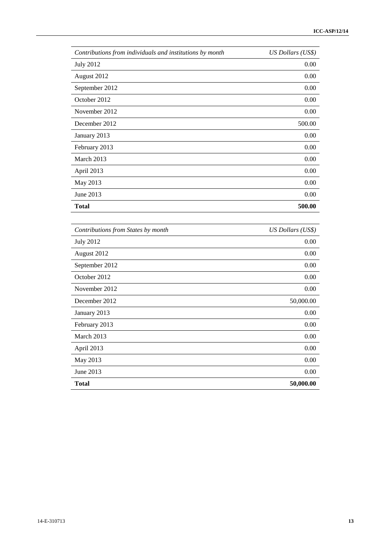| Contributions from individuals and institutions by month | <b>US Dollars (US\$)</b> |
|----------------------------------------------------------|--------------------------|
| <b>July 2012</b>                                         | $0.00\,$                 |
| August 2012                                              | $0.00\,$                 |
| September 2012                                           | $0.00\,$                 |
| October 2012                                             | $0.00\,$                 |
| November 2012                                            | $0.00\,$                 |
| December 2012                                            | 500.00                   |
| January 2013                                             | $0.00\,$                 |
| February 2013                                            | $0.00\,$                 |
| March 2013                                               | $0.00\,$                 |
| April 2013                                               | $0.00\,$                 |
| May 2013                                                 | $0.00\,$                 |
| June 2013                                                | $0.00\,$                 |
| <b>Total</b>                                             | 500.00                   |
| Contributions from States by month                       | <b>US Dollars (US\$)</b> |
| <b>July 2012</b>                                         | $0.00\,$                 |
| August 2012                                              | 0.00                     |
| September 2012                                           | $0.00\,$                 |
| October 2012                                             | $0.00\,$                 |
| November 2012                                            | $0.00\,$                 |
| December 2012                                            | 50,000.00                |
| January 2013                                             | $0.00\,$                 |
| February 2013                                            | $0.00\,$                 |
| March 2013                                               | $0.00\,$                 |
| April 2013                                               | $0.00\,$                 |
| May 2013                                                 | $0.00\,$                 |
| June 2013                                                | $0.00\,$                 |
| <b>Total</b>                                             | 50,000.00                |

| Contributions from States by month | US Dollars (US\$) |
|------------------------------------|-------------------|
| <b>July 2012</b>                   | 0.00              |
| August 2012                        | 0.00              |
| September 2012                     | 0.00              |
| October 2012                       | 0.00              |
| November 2012                      | 0.00              |
| December 2012                      | 50,000.00         |
| January 2013                       | 0.00              |
| February 2013                      | 0.00              |
| March 2013                         | 0.00              |
| April 2013                         | 0.00              |
| May 2013                           | 0.00              |
| June 2013                          | 0.00              |
| Total                              | 50,000.00         |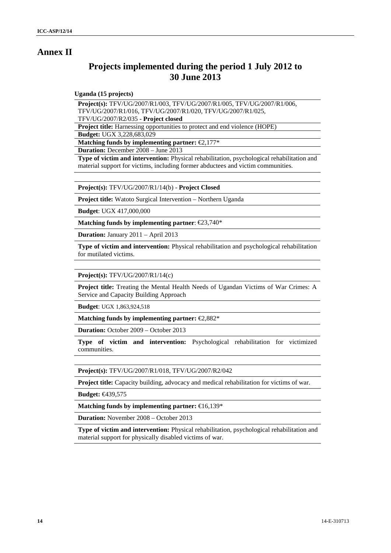## **Annex II**

# **Projects implemented during the period 1 July 2012 to 30 June 2013**

#### **Uganda (15 projects)**

**Project(s):** TFV/UG/2007/R1/003, TFV/UG/2007/R1/005, TFV/UG/2007/R1/006, TFV/UG/2007/R1/016, TFV/UG/2007/R1/020, TFV/UG/2007/R1/025, TFV/UG/2007/R2/035 - **Project closed**

**Project title:** Harnessing opportunities to protect and end violence (HOPE)

**Budget:** UGX 3,228,683,029

**Matching funds by implementing partner:** €2,177\*

**Duration:** December 2008 – June 2013

**Type of victim and intervention:** Physical rehabilitation, psychological rehabilitation and material support for victims, including former abductees and victim communities.

**Project(s):** TFV/UG/2007/R1/14(b) - **Project Closed**

**Project title:** Watoto Surgical Intervention – Northern Uganda

**Budget**: UGX 417,000,000

**Matching funds by implementing partner**: €23,740\*

**Duration:** January 2011 – April 2013

**Type of victim and intervention:** Physical rehabilitation and psychological rehabilitation for mutilated victims.

**Project(s):** TFV/UG/2007/R1/14(c)

**Project title:** Treating the Mental Health Needs of Ugandan Victims of War Crimes: A Service and Capacity Building Approach

**Budget**: UGX 1,863,924,518

**Matching funds by implementing partner:** €2,882\*

**Duration:** October 2009 – October 2013

**Type of victim and intervention:** Psychological rehabilitation for victimized communities.

**Project(s):** TFV/UG/2007/R1/018, TFV/UG/2007/R2/042

**Project title:** Capacity building, advocacy and medical rehabilitation for victims of war.

**Budget:** €439,575

**Matching funds by implementing partner:** €16,139\*

**Duration:** November 2008 – October 2013

**Type of victim and intervention:** Physical rehabilitation, psychological rehabilitation and material support for physically disabled victims of war.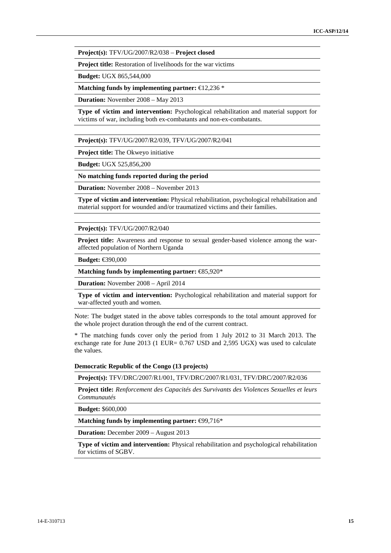**Project(s):** TFV/UG/2007/R2/038 – **Project closed**

**Project title:** Restoration of livelihoods for the war victims

**Budget:** UGX 865,544,000

**Matching funds by implementing partner:** €12,236 \*

**Duration:** November 2008 – May 2013

**Type of victim and intervention:** Psychological rehabilitation and material support for victims of war, including both ex-combatants and non-ex-combatants.

**Project(s):** TFV/UG/2007/R2/039, TFV/UG/2007/R2/041

**Project title:** The Okweyo initiative

**Budget:** UGX 525,856,200

**No matching funds reported during the period**

**Duration:** November 2008 – November 2013

**Type of victim and intervention:** Physical rehabilitation, psychological rehabilitation and material support for wounded and/or traumatized victims and their families.

**Project(s):** TFV/UG/2007/R2/040

**Project title:** Awareness and response to sexual gender-based violence among the war affected population of Northern Uganda

**Budget:** €390,000

**Matching funds by implementing partner:** €85,920\*

**Duration:** November 2008 – April 2014

**Type of victim and intervention:** Psychological rehabilitation and material support for war-affected youth and women.

Note: The budget stated in the above tables corresponds to the total amount approved for the whole project duration through the end of the current contract.

**Projection:** TPV/UG2000782-0038 - Project dowed<br>
Projection: TPV/UG200782-0038 - Project dowed<br> **Projection:** Technology and the three states in the transmission of the transmission of the transmission of the transmissio \* The matching funds cover only the period from 1 July 2012 to 31 March 2013. The exchange rate for June 2013 (1 EUR= 0.767 USD and 2,595 UGX) was used to calculate the values.

#### **Democratic Republic of the Congo (13 projects)**

**Project(s):** TFV/DRC/2007/R1/001, TFV/DRC/2007/R1/031, TFV/DRC/2007/R2/036

**Project title:** *Renforcement des Capacités des Survivants des Violences Sexuelles et leurs Communautés*

**Budget:** \$600,000

Matching funds by implementing partner: <del>€</del>99,716\*

**Duration:** December 2009 – August 2013

**Type of victim and intervention:** Physical rehabilitation and psychological rehabilitation for victims of SGBV.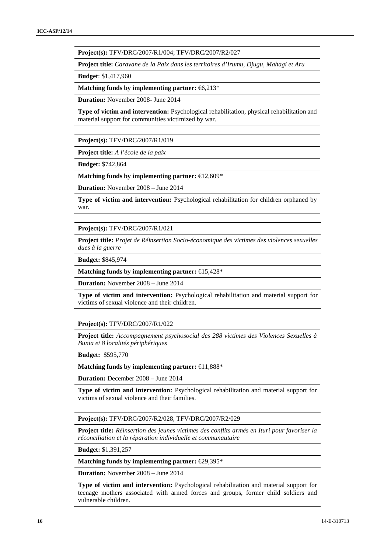**Project(s):** TFV/DRC/2007/R1/004; TFV/DRC/2007/R2/027

**Project title:** *Caravane de la Paix dans les territoires d'Irumu, Djugu, Mahagi et Aru*

**Budget**: \$1,417,960

**Matching funds by implementing partner:** €6,213\*

**Duration:** November 2008- June 2014

**Type of victim and intervention:** Psychological rehabilitation, physical rehabilitation and material support for communities victimized by war.

**Project(s):** TFV/DRC/2007/R1/019

**Project title:** *A l'école de la paix*

**Budget:** \$742,864

**Matching funds by implementing partner:** €12,609\*

**Duration:** November 2008 – June 2014

**Type of victim and intervention:** Psychological rehabilitation for children orphaned by war.

**Project(s):** TFV/DRC/2007/R1/021

**Project title:** *Projet de Réinsertion Socio-économique des victimes des violences sexuelles dues à la guerre*

**Budget:** \$845,974

**Matching funds by implementing partner:** €15,428\*

**Duration:** November 2008 – June 2014

**Type of victim and intervention:** Psychological rehabilitation and material support for victims of sexual violence and their children.

**Project(s):** TFV/DRC/2007/R1/022

**Project title:** *Accompagnement psychosocial des 288 victimes des Violences Sexuelles à Bunia et 8 localités périphériques*

**Budget:** \$595,770

**Matching funds by implementing partner:** €11,888\*

**Duration:** December 2008 – June 2014

**Type of victim and intervention:** Psychological rehabilitation and material support for victims of sexual violence and their families.

**Project(s):** TFV/DRC/2007/R2/028, TFV/DRC/2007/R2/029

**Project title:** *Réinsertion des jeunes victimes des conflits armés en Ituri pour favoriser la réconciliation et la réparation individuelle et communautaire*

**Budget:** \$1,391,257

**Matching funds by implementing partner:** €29,395\*

**Duration:** November 2008 – June 2014

**Type of victim and intervention:** Psychological rehabilitation and material support for teenage mothers associated with armed forces and groups, former child soldiers and vulnerable children.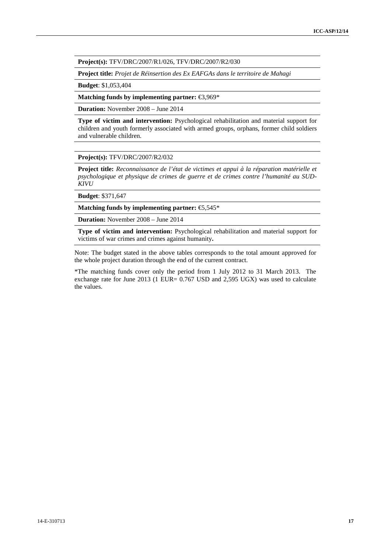**Project(s):** TFV/DRC/2007/R1/026, TFV/DRC/2007/R2/030

**Project title:** *Projet de Réinsertion des Ex EAFGAs dans le territoire de Mahagi*

**Budget**: \$1,053,404

**Matching funds by implementing partner:** €3,969\*

**Duration:** November 2008 – June 2014

**Type of victim and intervention:** Psychological rehabilitation and material support for children and youth formerly associated with armed groups, orphans, former child soldiers and vulnerable children.

**Project(s):** TFV/DRC/2007/R2/032

**Project title:** *Reconnaissance de l'état de victimes et appui à la réparation matérielle et psychologique et physique de crimes de guerre et de crimes contre l'humanité au SUD- KIVU*

**Budget**: \$371,647

**Matching funds by implementing partner:**  $\mathfrak{S},545^*$ 

**Duration:** November 2008 – June 2014

**Type of victim and intervention:** Psychological rehabilitation and material support for victims of war crimes and crimes against humanity**.**

Note: The budget stated in the above tables corresponds to the total amount approved for the whole project duration through the end of the current contract.

**Projection:** TWORC 200781: 026, TPV20C 200792:020<br> *Project files Project distanceles due N. PafFCS due 2-2* and the Manage 17<br> **Dealize Taiston 2** in Statistics and European in the Reference of Softy<br> **Dealize Taiston 2** \*The matching funds cover only the period from 1 July 2012 to 31 March 2013. The exchange rate for June 2013 (1 EUR= 0.767 USD and 2,595 UGX) was used to calculate the values.